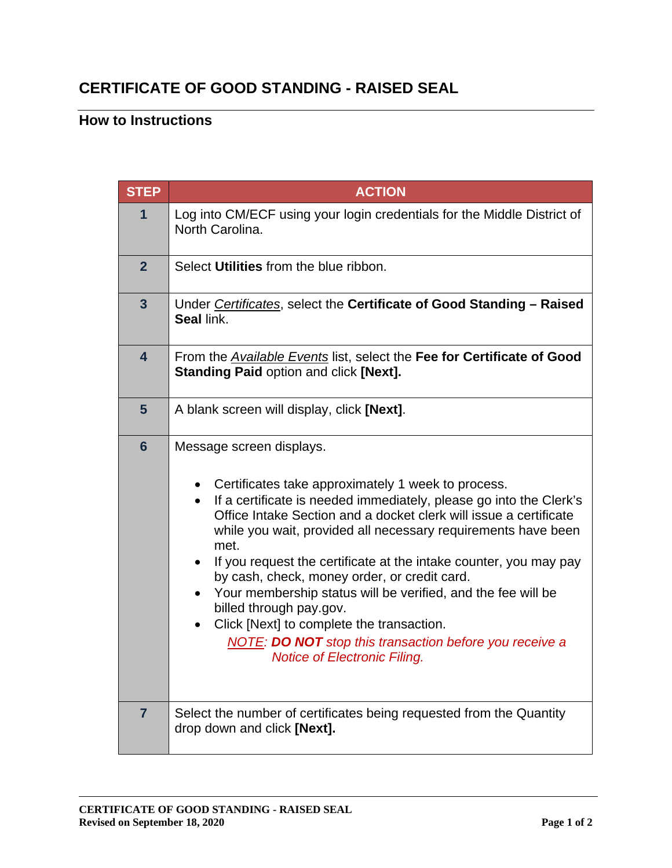## **CERTIFICATE OF GOOD STANDING - RAISED SEAL**

## **How to Instructions**

| <b>STEP</b>             | <b>ACTION</b>                                                                                                                                                                                                                                                                                                                                                                                                                                                                                                                                                                                                                                                                                      |
|-------------------------|----------------------------------------------------------------------------------------------------------------------------------------------------------------------------------------------------------------------------------------------------------------------------------------------------------------------------------------------------------------------------------------------------------------------------------------------------------------------------------------------------------------------------------------------------------------------------------------------------------------------------------------------------------------------------------------------------|
| 1                       | Log into CM/ECF using your login credentials for the Middle District of<br>North Carolina.                                                                                                                                                                                                                                                                                                                                                                                                                                                                                                                                                                                                         |
| $\overline{2}$          | Select Utilities from the blue ribbon.                                                                                                                                                                                                                                                                                                                                                                                                                                                                                                                                                                                                                                                             |
| $\overline{\mathbf{3}}$ | Under Certificates, select the Certificate of Good Standing - Raised<br>Seal link.                                                                                                                                                                                                                                                                                                                                                                                                                                                                                                                                                                                                                 |
| $\overline{\mathbf{4}}$ | From the <i>Available Events</i> list, select the Fee for Certificate of Good<br><b>Standing Paid option and click [Next].</b>                                                                                                                                                                                                                                                                                                                                                                                                                                                                                                                                                                     |
| $5\phantom{1}$          | A blank screen will display, click [Next].                                                                                                                                                                                                                                                                                                                                                                                                                                                                                                                                                                                                                                                         |
| $6\phantom{1}$          | Message screen displays.<br>Certificates take approximately 1 week to process.<br>If a certificate is needed immediately, please go into the Clerk's<br>$\bullet$<br>Office Intake Section and a docket clerk will issue a certificate<br>while you wait, provided all necessary requirements have been<br>met.<br>If you request the certificate at the intake counter, you may pay<br>by cash, check, money order, or credit card.<br>Your membership status will be verified, and the fee will be<br>billed through pay.gov.<br>Click [Next] to complete the transaction.<br>$\bullet$<br><b>NOTE: DO NOT</b> stop this transaction before you receive a<br><b>Notice of Electronic Filing.</b> |
| $\overline{7}$          | Select the number of certificates being requested from the Quantity<br>drop down and click [Next].                                                                                                                                                                                                                                                                                                                                                                                                                                                                                                                                                                                                 |